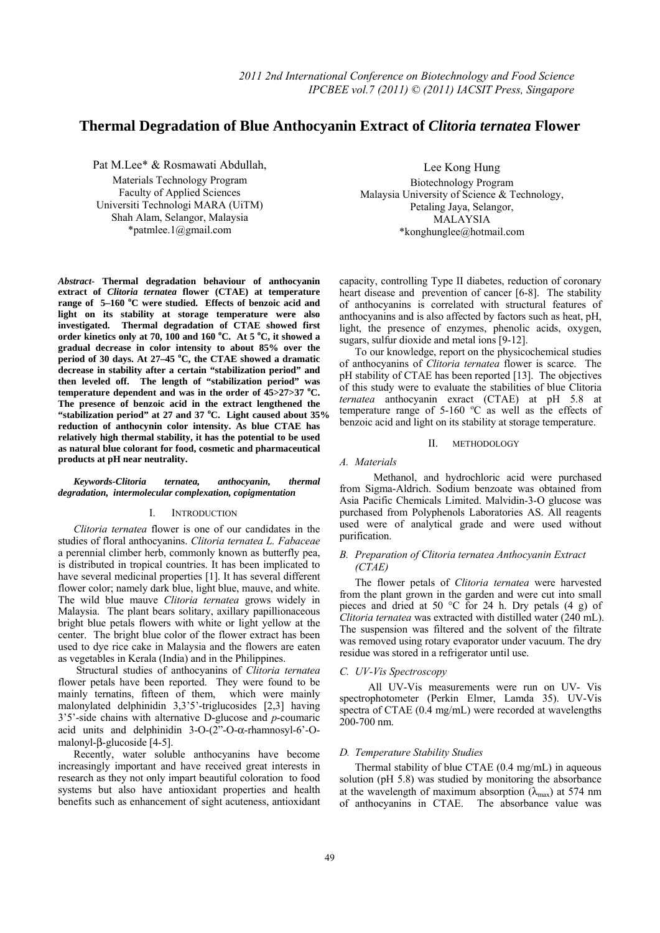# **Thermal Degradation of Blue Anthocyanin Extract of** *Clitoria ternatea* **Flower**

Pat M.Lee\* & Rosmawati Abdullah,

Materials Technology Program Faculty of Applied Sciences Universiti Technologi MARA (UiTM) Shah Alam, Selangor, Malaysia \*patmlee.1@gmail.com

*Abstract-* **Thermal degradation behaviour of anthocyanin extract of** *Clitoria ternatea* **flower (CTAE) at temperature range of 5–160 <sup>o</sup> C were studied. Effects of benzoic acid and light on its stability at storage temperature were also investigated. Thermal degradation of CTAE showed first order kinetics only at 70, 100 and 160 <sup>o</sup> C. At 5 <sup>o</sup> C, it showed a gradual decrease in color intensity to about 85% over the period of 30 days. At 27–45 <sup>o</sup> C, the CTAE showed a dramatic decrease in stability after a certain "stabilization period" and then leveled off. The length of "stabilization period" was temperature dependent and was in the order of 45>27>37 <sup>o</sup> C. The presence of benzoic acid in the extract lengthened the "stabilization period" at 27 and 37 <sup>o</sup> C. Light caused about 35% reduction of anthocynin color intensity. As blue CTAE has relatively high thermal stability, it has the potential to be used as natural blue colorant for food, cosmetic and pharmaceutical products at pH near neutrality.** 

*Keywords-Clitoria ternatea, anthocyanin, thermal degradation, intermolecular complexation, copigmentation* 

## I. INTRODUCTION

*Clitoria ternatea* flower is one of our candidates in the studies of floral anthocyanins. *Clitoria ternatea L. Fabaceae* a perennial climber herb, commonly known as butterfly pea, is distributed in tropical countries. It has been implicated to have several medicinal properties [1]. It has several different flower color; namely dark blue, light blue, mauve, and white. The wild blue mauve *Clitoria ternatea* grows widely in Malaysia. The plant bears solitary, axillary papillionaceous bright blue petals flowers with white or light yellow at the center. The bright blue color of the flower extract has been used to dye rice cake in Malaysia and the flowers are eaten as vegetables in Kerala (India) and in the Philippines.

 Structural studies of anthocyanins of *Clitoria ternatea* flower petals have been reported. They were found to be mainly ternatins, fifteen of them, which were mainly malonylated delphinidin 3,3'5'-triglucosides [2,3] having 3'5'-side chains with alternative D-glucose and *p*-coumaric acid units and delphinidin  $3-O-(2"$ -O- $\alpha$ -rhamnosyl-6<sup>2</sup>-Omalonyl-β-glucoside [4-5].

Recently, water soluble anthocyanins have become increasingly important and have received great interests in research as they not only impart beautiful coloration to food systems but also have antioxidant properties and health benefits such as enhancement of sight acuteness, antioxidant

Lee Kong Hung Biotechnology Program Malaysia University of Science & Technology, Petaling Jaya, Selangor, MALAYSIA \*konghunglee@hotmail.com

capacity, controlling Type II diabetes, reduction of coronary heart disease and prevention of cancer [6-8]. The stability of anthocyanins is correlated with structural features of anthocyanins and is also affected by factors such as heat, pH, light, the presence of enzymes, phenolic acids, oxygen, sugars, sulfur dioxide and metal ions [9-12].

To our knowledge, report on the physicochemical studies of anthocyanins of *Clitoria ternatea* flower is scarce. The pH stability of CTAE has been reported [13]. The objectives of this study were to evaluate the stabilities of blue Clitoria *ternatea* anthocyanin exract (CTAE) at pH 5.8 at temperature range of  $5{\text -}160$  °C as well as the effects of benzoic acid and light on its stability at storage temperature.

#### II. METHODOLOGY

#### *A. Materials*

 Methanol, and hydrochloric acid were purchased from Sigma-Aldrich. Sodium benzoate was obtained from Asia Pacific Chemicals Limited. Malvidin-3-O glucose was purchased from Polyphenols Laboratories AS. All reagents used were of analytical grade and were used without purification.

# *B. Preparation of Clitoria ternatea Anthocyanin Extract (CTAE)*

The flower petals of *Clitoria ternatea* were harvested from the plant grown in the garden and were cut into small pieces and dried at 50  $^{\circ}$ C for 24 h. Dry petals (4 g) of *Clitoria ternatea* was extracted with distilled water (240 mL). The suspension was filtered and the solvent of the filtrate was removed using rotary evaporator under vacuum. The dry residue was stored in a refrigerator until use.

## *C. UV-Vis Spectroscopy*

 All UV-Vis measurements were run on UV- Vis spectrophotometer (Perkin Elmer, Lamda 35). UV-Vis spectra of CTAE (0.4 mg/mL) were recorded at wavelengths 200-700 nm.

## *D. Temperature Stability Studies*

Thermal stability of blue CTAE (0.4 mg/mL) in aqueous solution (pH 5.8) was studied by monitoring the absorbance at the wavelength of maximum absorption  $(\lambda_{\text{max}})$  at 574 nm of anthocyanins in CTAE. The absorbance value was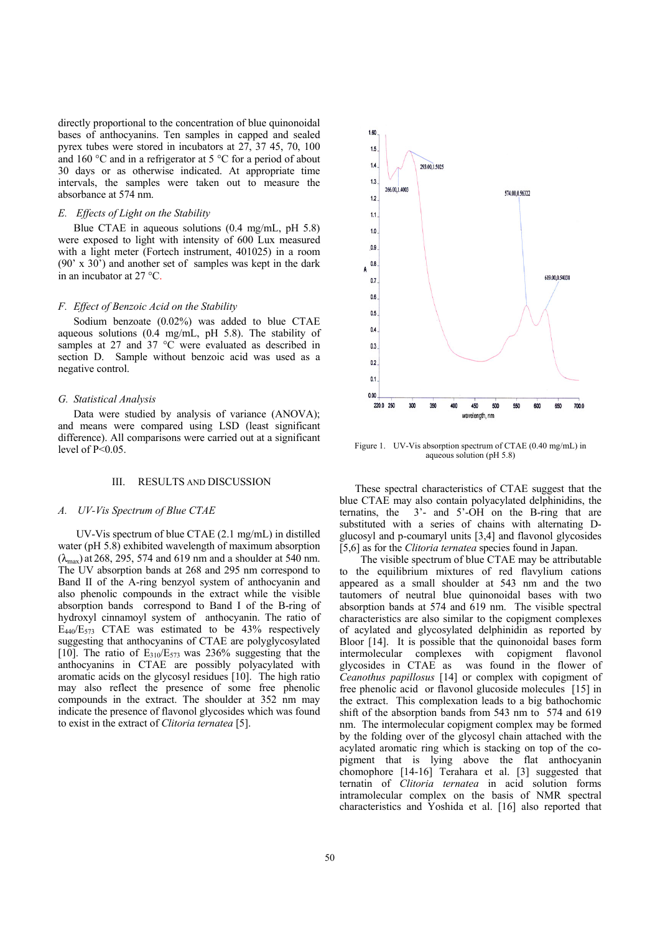directly proportional to the concentration of blue quinonoidal bases of anthocyanins. Ten samples in capped and sealed pyrex tubes were stored in incubators at 27, 37 45, 70, 100 and 160 °C and in a refrigerator at 5 °C for a period of about 30 days or as otherwise indicated. At appropriate time intervals, the samples were taken out to measure the absorbance at 574 nm.

## *E. Effects of Light on the Stability*

Blue CTAE in aqueous solutions (0.4 mg/mL, pH 5.8) were exposed to light with intensity of 600 Lux measured with a light meter (Fortech instrument, 401025) in a room (90' x 30') and another set of samples was kept in the dark in an incubator at 27 °C.

#### *F. Effect of Benzoic Acid on the Stability*

Sodium benzoate (0.02%) was added to blue CTAE aqueous solutions (0.4 mg/mL, pH 5.8). The stability of samples at 27 and 37 °C were evaluated as described in section D. Sample without benzoic acid was used as a negative control.

#### *G. Statistical Analysis*

Data were studied by analysis of variance (ANOVA); and means were compared using LSD (least significant difference). All comparisons were carried out at a significant level of  $P<0.05$ .

# III. RESULTS AND DISCUSSION

## *A. UV-Vis Spectrum of Blue CTAE*

 UV-Vis spectrum of blue CTAE (2.1 mg/mL) in distilled water (pH 5.8) exhibited wavelength of maximum absorption  $(\lambda_{\text{max}})$  at 268, 295, 574 and 619 nm and a shoulder at 540 nm. The UV absorption bands at 268 and 295 nm correspond to Band II of the A-ring benzyol system of anthocyanin and also phenolic compounds in the extract while the visible absorption bands correspond to Band I of the B-ring of hydroxyl cinnamoyl system of anthocyanin. The ratio of  $E_{440}/E_{573}$  CTAE was estimated to be 43% respectively suggesting that anthocyanins of CTAE are polyglycosylated [10]. The ratio of  $E_{310}/E_{573}$  was 236% suggesting that the anthocyanins in CTAE are possibly polyacylated with aromatic acids on the glycosyl residues [10]. The high ratio may also reflect the presence of some free phenolic compounds in the extract. The shoulder at 352 nm may indicate the presence of flavonol glycosides which was found to exist in the extract of *Clitoria ternatea* [5].



Figure 1. UV-Vis absorption spectrum of CTAE (0.40 mg/mL) in aqueous solution (pH 5.8)

These spectral characteristics of CTAE suggest that the blue CTAE may also contain polyacylated delphinidins, the ternatins, the 3'- and 5'-OH on the B-ring that are substituted with a series of chains with alternating Dglucosyl and p-coumaryl units [3,4] and flavonol glycosides [5,6] as for the *Clitoria ternatea* species found in Japan.

 The visible spectrum of blue CTAE may be attributable to the equilibrium mixtures of red flavylium cations appeared as a small shoulder at 543 nm and the two tautomers of neutral blue quinonoidal bases with two absorption bands at 574 and 619 nm. The visible spectral characteristics are also similar to the copigment complexes of acylated and glycosylated delphinidin as reported by Bloor [14]. It is possible that the quinonoidal bases form intermolecular complexes with copigment flavonol glycosides in CTAE as was found in the flower of *Ceanothus papillosus* [14] or complex with copigment of free phenolic acid or flavonol glucoside molecules [15] in the extract. This complexation leads to a big bathochomic shift of the absorption bands from 543 nm to 574 and 619 nm. The intermolecular copigment complex may be formed by the folding over of the glycosyl chain attached with the acylated aromatic ring which is stacking on top of the copigment that is lying above the flat anthocyanin chomophore [14-16] Terahara et al. [3] suggested that ternatin of *Clitoria ternatea* in acid solution forms intramolecular complex on the basis of NMR spectral characteristics and Yoshida et al. [16] also reported that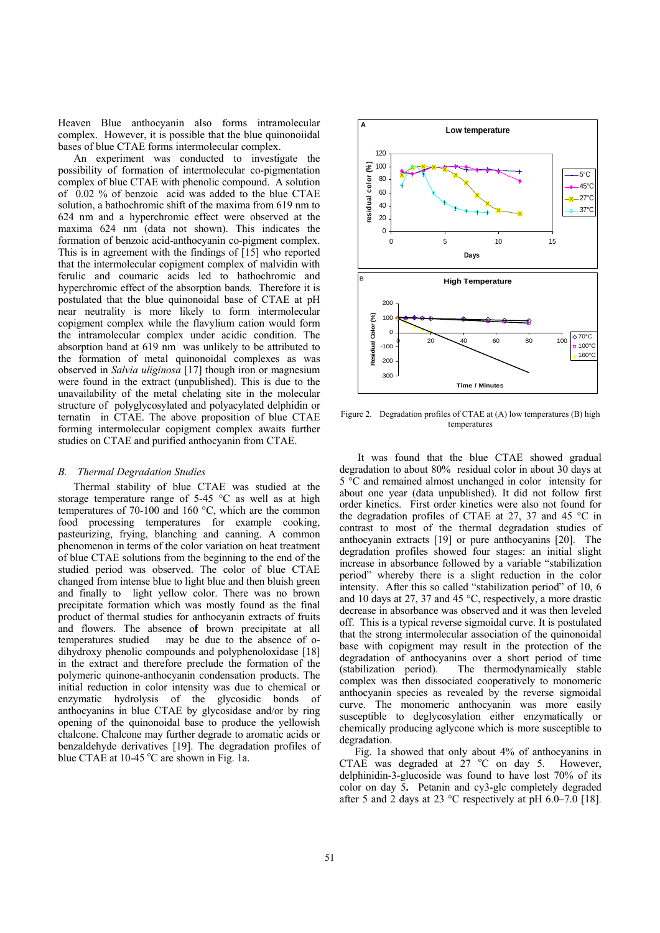Heaven Blue anthocyanin also forms intramolecular complex. However, it is possible that the blue quinonoiidal bases of blue CTAE forms intermolecular complex.

An experiment was conducted to investigate the possibility of formation of intermolecular co-pigmentation complex of blue CTAE with phenolic compound. A solution of 0.02 % of benzoic acid was added to the blue CTAE solution, a bathochromic shift of the maxima from 619 nm to 624 nm and a hyperchromic effect were observed at the maxima 624 nm (data not shown). This indicates the formation of benzoic acid-anthocyanin co-pigment complex. This is in agreement with the findings of [15] who reported that the intermolecular copigment complex of malvidin with ferulic and coumaric acids led to bathochromic and hyperchromic effect of the absorption bands. Therefore it is postulated that the blue quinonoidal base of CTAE at pH near neutrality is more likely to form intermolecular copigment complex while the flavylium cation would form the intramolecular complex under acidic condition. The absorption band at 619 nm was unlikely to be attributed to the formation of metal quinonoidal complexes as was observed in *Salvia uliginosa* [17] though iron or magnesium were found in the extract (unpublished). This is due to the unavailability of the metal chelating site in the molecular structure of polyglycosylated and polyacylated delphidin or ternatin in CTAE. The above proposition of blue CTAE forming intermolecular copigment complex awaits further studies on CTAE and purified anthocyanin from CTAE.

#### *B. Thermal Degradation Studies*

Thermal stability of blue CTAE was studied at the storage temperature range of 5-45 °C as well as at high temperatures of 70-100 and 160 °C, which are the common food processing temperatures for example cooking, pasteurizing, frying, blanching and canning. A common phenomenon in terms of the color variation on heat treatment of blue CTAE solutions from the beginning to the end of the studied period was observed. The color of blue CTAE changed from intense blue to light blue and then bluish green and finally to light yellow color. There was no brown precipitate formation which was mostly found as the final product of thermal studies for anthocyanin extracts of fruits and flowers. The absence o**f** brown precipitate at all temperatures studied may be due to the absence of odihydroxy phenolic compounds and polyphenoloxidase [18] in the extract and therefore preclude the formation of the polymeric quinone-anthocyanin condensation products. The initial reduction in color intensity was due to chemical or enzymatic hydrolysis of the glycosidic bonds of anthocyanins in blue CTAE by glycosidase and/or by ring opening of the quinonoidal base to produce the yellowish chalcone. Chalcone may further degrade to aromatic acids or benzaldehyde derivatives [19]. The degradation profiles of blue CTAE at  $10-45$  °C are shown in Fig. 1a.



Figure 2. Degradation profiles of CTAE at (A) low temperatures (B) high temperatures

 It was found that the blue CTAE showed gradual degradation to about 80% residual color in about 30 days at 5 °C and remained almost unchanged in color intensity for about one year (data unpublished). It did not follow first order kinetics.First order kinetics were also not found for the degradation profiles of CTAE at 27, 37 and 45 °C in contrast to most of the thermal degradation studies of anthocyanin extracts [19] or pure anthocyanins [20]. The degradation profiles showed four stages: an initial slight increase in absorbance followed by a variable "stabilization period" whereby there is a slight reduction in the color intensity. After this so called "stabilization period" of 10, 6 and 10 days at 27, 37 and 45 °C, respectively, a more drastic decrease in absorbance was observed and it was then leveled off. This is a typical reverse sigmoidal curve. It is postulated that the strong intermolecular association of the quinonoidal base with copigment may result in the protection of the degradation of anthocyanins over a short period of time (stabilization period). The thermodynamically stable complex was then dissociated cooperatively to monomeric anthocyanin species as revealed by the reverse sigmoidal curve. The monomeric anthocyanin was more easily susceptible to deglycosylation either enzymatically or chemically producing aglycone which is more susceptible to degradation.

Fig. 1a showed that only about 4% of anthocyanins in CTAE was degraded at  $27$  °C on day 5. However, delphinidin-3-glucoside was found to have lost 70% of its color on day 5**.** Petanin and cy3-glc completely degraded after 5 and 2 days at 23 °C respectively at pH 6.0–7.0 [18].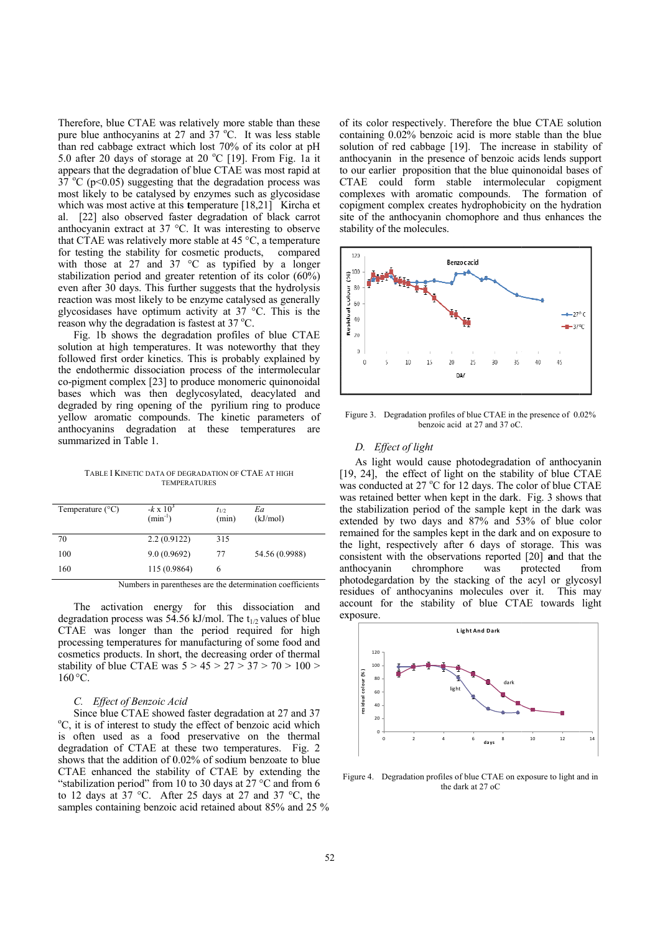Therefore, blue CTAE was relatively more stable than these pure blue anthocyanins at 27 and 37 °C. It was less stable than red cabbage extract which lost 70% of its color at pH 5.0 after 20 days of storage at 20 °C [19]. From Fig. 1a it appears that the degradation of blue CTAE was most rapid at 37 °C ( $p<0.05$ ) suggesting that the degradation process was most likely to be catalysed by enzymes such as glycosidase which was most active at this temperature [18,21] Kircha et al. [22] also observed faster degradation of black carrot anthocyanin extract at 37 °C. It was interesting to observe that CTAE was relatively more stable at 45  $^{\circ}$ C, a temperature for testing the stability for cosmetic products, compared with those at 27 and 37  $\degree$ C as typified by a longer stabilization period and greater retention of its color  $(60\%)$ even after 30 days. This further suggests that the hydrolysis reaction was most likely to be enzyme catalysed as generally glycosidases have optimum activity at  $37^{\circ}$ C. This is the reason why the degradation is fastest at 37 °C.

Fig. 1b shows the degradation profiles of blue CTAE solution at high temperatures. It was noteworthy that they followed first order kinetics. This is probably explained by the endothermic dissociation process of the intermolecular co-pigment complex [23] to produce monomeric quinonoidal bases which was then deglycosylated, deacylated and degraded by ring opening of the pyrilium ring to produce yellow aromatic compounds. The kinetic parameters of anthocyanins degradation at these temperatures are summarized in Table 1.

TABLE I KINETIC DATA OF DEGRADATION OF CTAE AT HIGH **TEMPERATURES** 

| Temperature $(^{\circ}C)$ | $-k \times 10^3$<br>$(min^{-1})$ | $t_{1/2}$<br>(min) | Ea<br>(kJ/mol) |
|---------------------------|----------------------------------|--------------------|----------------|
| 70                        | 2.2(0.9122)                      | 315                |                |
| 100                       | 9.0(0.9692)                      | 77                 | 54.56 (0.9988) |
| 160                       | 115 (0.9864)                     | 6                  |                |

Numbers in parentheses are the determination coefficients

The activation energy for this dissociation and degradation process was 54.56 kJ/mol. The  $t_{1/2}$  values of blue CTAE was longer than the period required for high processing temperatures for manufacturing of some food and cosmetics products. In short, the decreasing order of thermal stability of blue CTAE was  $5 > 45 > 27 > 37 > 70 > 100 >$  $160^{\circ}$ C

#### C. Effect of Benzoic Acid

Since blue CTAE showed faster degradation at 27 and 37 °C, it is of interest to study the effect of benzoic acid which is often used as a food preservative on the thermal degradation of CTAE at these two temperatures. Fig. 2 shows that the addition of 0.02% of sodium benzoate to blue CTAE enhanced the stability of CTAE by extending the "stabilization period" from 10 to 30 days at 27  $^{\circ}$ C and from 6 to 12 days at 37 °C. After 25 days at 27 and 37 °C, the samples containing benzoic acid retained about 85% and 25 % of its color respectively. Therefore the blue CTAE solution containing 0.02% benzoic acid is more stable than the blue solution of red cabbage [19]. The increase in stability of anthocyanin in the presence of benzoic acids lends support to our earlier proposition that the blue quinonoidal bases of CTAE could form stable intermolecular copigment complexes with aromatic compounds. The formation of copigment complex creates hydrophobicity on the hydration site of the anthocyanin chomophore and thus enhances the stability of the molecules.



Figure 3. Degradation profiles of blue CTAE in the presence of 0.02% benzoic acid at 27 and 37 oC.

## D. Effect of light

As light would cause photodegradation of anthocyanin [19, 24], the effect of light on the stability of blue CTAE was conducted at 27 °C for 12 days. The color of blue CTAE was retained better when kept in the dark. Fig. 3 shows that the stabilization period of the sample kept in the dark was extended by two days and 87% and 53% of blue color remained for the samples kept in the dark and on exposure to the light, respectively after 6 days of storage. This was consistent with the observations reported [20] and that the anthocyanin chromphore was protected from photodegardation by the stacking of the acyl or glycosyl residues of anthocyanins molecules over it. This may account for the stability of blue CTAE towards light exposure.



Figure 4. Degradation profiles of blue CTAE on exposure to light and in the dark at 27 oC